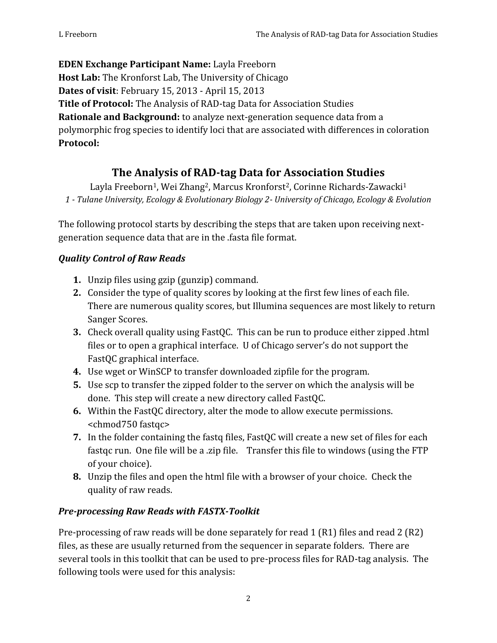**EDEN Exchange Participant Name:** Layla Freeborn **Host Lab:** The Kronforst Lab, The University of Chicago **Dates of visit**: February 15, 2013 - April 15, 2013 **Title of Protocol:** The Analysis of RAD-tag Data for Association Studies **Rationale and Background:** to analyze next-generation sequence data from a polymorphic frog species to identify loci that are associated with differences in coloration **Protocol:**

# **The Analysis of RAD-tag Data for Association Studies**

Layla Freeborn<sup>1</sup>, Wei Zhang<sup>2</sup>, Marcus Kronforst<sup>2</sup>, Corinne Richards-Zawacki<sup>1</sup> *1 - Tulane University, Ecology & Evolutionary Biology 2- University of Chicago, Ecology & Evolution*

The following protocol starts by describing the steps that are taken upon receiving next generation sequence data that are in the .fasta file format.

### *Quality Control of Raw Reads*

- **1.** Unzip files using gzip (gunzip) command.
- **2.** Consider the type of quality scores by looking at the first few lines of each file. There are numerous quality scores, but Illumina sequences are most likely to return Sanger Scores.
- **3.** Check overall quality using FastQC. This can be run to produce either zipped .html files or to open a graphical interface. U of Chicago server's do not support the FastQC graphical interface.
- **4.** Use wget or WinSCP to transfer downloaded zipfile for the program.
- **5.** Use scp to transfer the zipped folder to the server on which the analysis will be done. This step will create a new directory called FastQC.
- **6.** Within the FastQC directory, alter the mode to allow execute permissions. <chmod750 fastqc>
- **7.** In the folder containing the fastq files, FastQC will create a new set of files for each fastqc run. One file will be a .zip file. Transfer this file to windows (using the FTP of your choice).
- **8.** Unzip the files and open the html file with a browser of your choice. Check the quality of raw reads.

### *Pre-processing Raw Reads with FASTX-Toolkit*

Pre-processing of raw reads will be done separately for read 1 (R1) files and read 2 (R2) files, as these are usually returned from the sequencer in separate folders. There are several tools in this toolkit that can be used to pre-process files for RAD-tag analysis. The following tools were used for this analysis: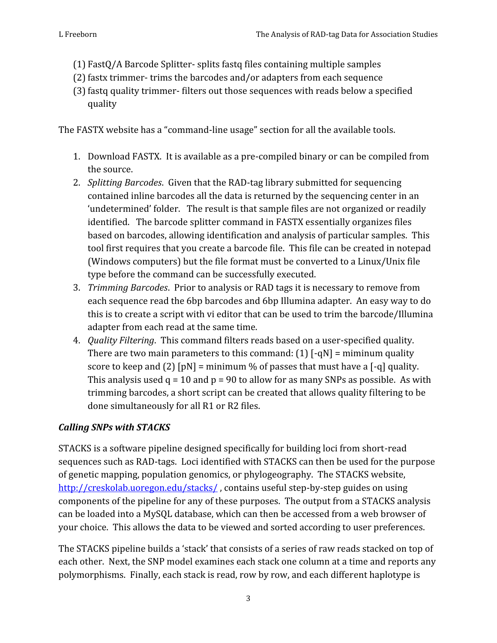- (1) FastQ/A Barcode Splitter- splits fastq files containing multiple samples
- (2) fastx trimmer- trims the barcodes and/or adapters from each sequence
- (3) fastq quality trimmer- filters out those sequences with reads below a specified quality

The FASTX website has a "command-line usage" section for all the available tools.

- 1. Download FASTX. It is available as a pre-compiled binary or can be compiled from the source.
- 2. *Splitting Barcodes*. Given that the RAD-tag library submitted for sequencing contained inline barcodes all the data is returned by the sequencing center in an 'undetermined' folder. The result is that sample files are not organized or readily identified. The barcode splitter command in FASTX essentially organizes files based on barcodes, allowing identification and analysis of particular samples. This tool first requires that you create a barcode file. This file can be created in notepad (Windows computers) but the file format must be converted to a Linux/Unix file type before the command can be successfully executed.
- 3. *Trimming Barcodes*. Prior to analysis or RAD tags it is necessary to remove from each sequence read the 6bp barcodes and 6bp Illumina adapter. An easy way to do this is to create a script with vi editor that can be used to trim the barcode/Illumina adapter from each read at the same time.
- 4. *Quality Filtering*. This command filters reads based on a user-specified quality. There are two main parameters to this command:  $(1)$  [-qN] = miminum quality score to keep and (2)  $[pN]$  = minimum % of passes that must have a  $[-q]$  quality. This analysis used  $q = 10$  and  $p = 90$  to allow for as many SNPs as possible. As with trimming barcodes, a short script can be created that allows quality filtering to be done simultaneously for all R1 or R2 files.

## *Calling SNPs with STACKS*

STACKS is a software pipeline designed specifically for building loci from short-read sequences such as RAD-tags. Loci identified with STACKS can then be used for the purpose of genetic mapping, population genomics, or phylogeography. The STACKS website, http://creskolab.uoregon.edu/stacks/ , contains useful step-by-step guides on using components of the pipeline for any of these purposes. The output from a STACKS analysis can be loaded into a MySQL database, which can then be accessed from a web browser of your choice. This allows the data to be viewed and sorted according to user preferences.

The STACKS pipeline builds a 'stack' that consists of a series of raw reads stacked on top of each other. Next, the SNP model examines each stack one column at a time and reports any polymorphisms. Finally, each stack is read, row by row, and each different haplotype is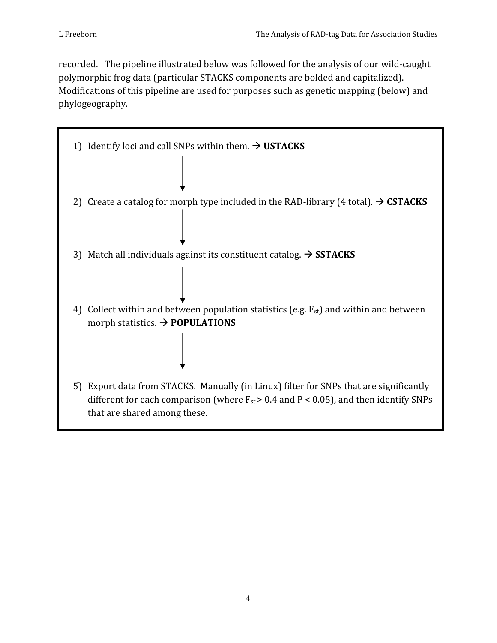recorded. The pipeline illustrated below was followed for the analysis of our wild-caught polymorphic frog data (particular STACKS components are bolded and capitalized). Modifications of this pipeline are used for purposes such as genetic mapping (below) and phylogeography.

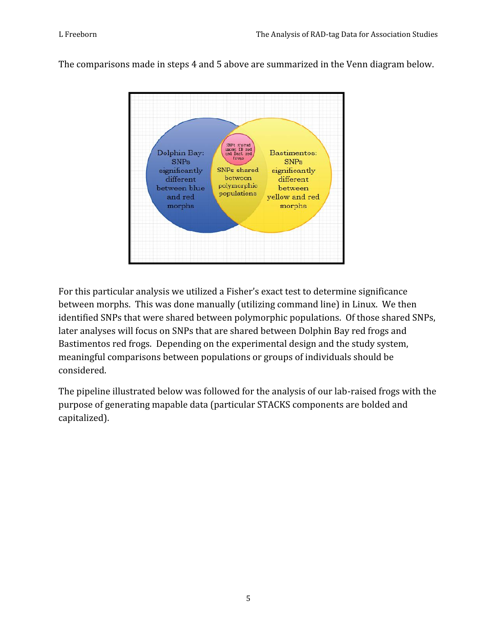SNPs shared<br>among IB red<br>and Dast red<br>frugs Dolphin Bay: Bastimentos: **SNPs SNPs** SNPs shared significantly significantly between different different polymorphic between blue between populations and red yellow and red morphs morphs

The comparisons made in steps 4 and 5 above are summarized in the Venn diagram below.

For this particular analysis we utilized a Fisher's exact test to determine significance between morphs. This was done manually (utilizing command line) in Linux. We then identified SNPs that were shared between polymorphic populations. Of those shared SNPs, later analyses will focus on SNPs that are shared between Dolphin Bay red frogs and Bastimentos red frogs. Depending on the experimental design and the study system, meaningful comparisons between populations or groups of individuals should be considered.

The pipeline illustrated below was followed for the analysis of our lab-raised frogs with the purpose of generating mapable data (particular STACKS components are bolded and capitalized).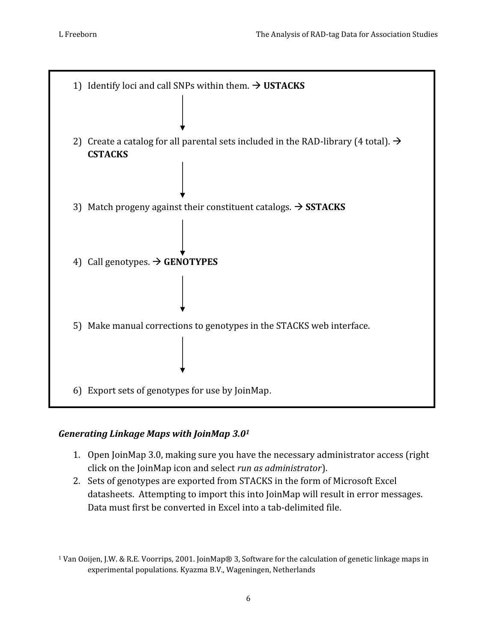

#### *Generating Linkage Maps with JoinMap 3.0<sup>1</sup>*

- 1. Open JoinMap 3.0, making sure you have the necessary administrator access (right click on the JoinMap icon and select *run as administrator*).
- 2. Sets of genotypes are exported from STACKS in the form of Microsoft Excel datasheets. Attempting to import this into JoinMap will result in error messages. Data must first be converted in Excel into a tab-delimited file.

<sup>1</sup> Van Ooijen, J.W. & R.E. Voorrips, 2001. JoinMap® 3, Software for the calculation of genetic linkage maps in experimental populations. Kyazma B.V., Wageningen, Netherlands